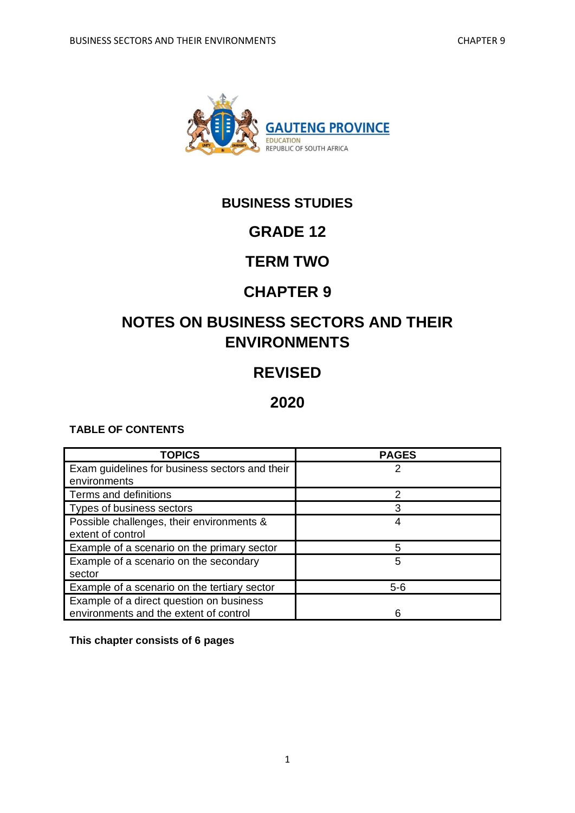

# **BUSINESS STUDIES**

# **GRADE 12**

# **TERM TWO**

# **CHAPTER 9**

# **NOTES ON BUSINESS SECTORS AND THEIR ENVIRONMENTS**

# **REVISED**

## **2020**

## **TABLE OF CONTENTS**

| <b>TOPICS</b>                                  | <b>PAGES</b> |
|------------------------------------------------|--------------|
| Exam guidelines for business sectors and their |              |
| environments                                   |              |
| Terms and definitions                          | っ            |
| Types of business sectors                      | 3            |
| Possible challenges, their environments &      |              |
| extent of control                              |              |
| Example of a scenario on the primary sector    | 5            |
| Example of a scenario on the secondary         | 5            |
| sector                                         |              |
| Example of a scenario on the tertiary sector   | $5 - 6$      |
| Example of a direct question on business       |              |
| environments and the extent of control         |              |

**This chapter consists of 6 pages**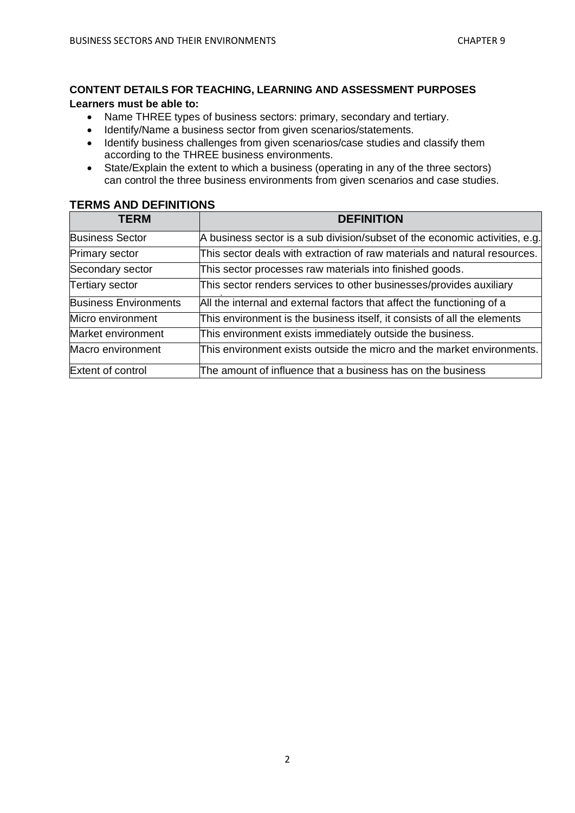#### **CONTENT DETAILS FOR TEACHING, LEARNING AND ASSESSMENT PURPOSES**

#### **Learners must be able to:**

- Name THREE types of business sectors: primary, secondary and tertiary.
- Identify/Name a business sector from given scenarios/statements.
- Identify business challenges from given scenarios/case studies and classify them according to the THREE business environments.
- State/Explain the extent to which a business (operating in any of the three sectors) can control the three business environments from given scenarios and case studies.

#### **TERMS AND DEFINITIONS**

| <b>TERM</b>                  | <b>DEFINITION</b>                                                           |
|------------------------------|-----------------------------------------------------------------------------|
| <b>Business Sector</b>       | A business sector is a sub division/subset of the economic activities, e.g. |
| Primary sector               | This sector deals with extraction of raw materials and natural resources.   |
| Secondary sector             | This sector processes raw materials into finished goods.                    |
| <b>Tertiary sector</b>       | This sector renders services to other businesses/provides auxiliary         |
| <b>Business Environments</b> | All the internal and external factors that affect the functioning of a      |
| Micro environment            | This environment is the business itself, it consists of all the elements    |
| Market environment           | This environment exists immediately outside the business.                   |
| Macro environment            | This environment exists outside the micro and the market environments.      |
| Extent of control            | The amount of influence that a business has on the business                 |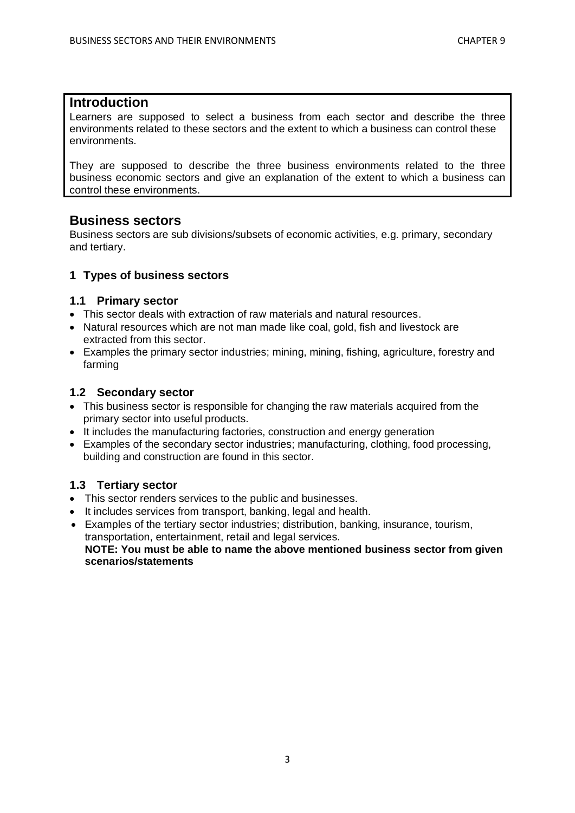#### **Introduction**

Learners are supposed to select a business from each sector and describe the three environments related to these sectors and the extent to which a business can control these environments.

They are supposed to describe the three business environments related to the three business economic sectors and give an explanation of the extent to which a business can control these environments.

#### **Business sectors**

Business sectors are sub divisions/subsets of economic activities, e.g. primary, secondary and tertiary.

#### **1 Types of business sectors**

#### **1.1 Primary sector**

- This sector deals with extraction of raw materials and natural resources.
- Natural resources which are not man made like coal, gold, fish and livestock are extracted from this sector.
- Examples the primary sector industries; mining, mining, fishing, agriculture, forestry and farming

#### **1.2 Secondary sector**

- This business sector is responsible for changing the raw materials acquired from the primary sector into useful products.
- It includes the manufacturing factories, construction and energy generation
- Examples of the secondary sector industries; manufacturing, clothing, food processing, building and construction are found in this sector.

#### **1.3 Tertiary sector**

- This sector renders services to the public and businesses.
- It includes services from transport, banking, legal and health.
- Examples of the tertiary sector industries; distribution, banking, insurance, tourism, transportation, entertainment, retail and legal services. **NOTE: You must be able to name the above mentioned business sector from given scenarios/statements**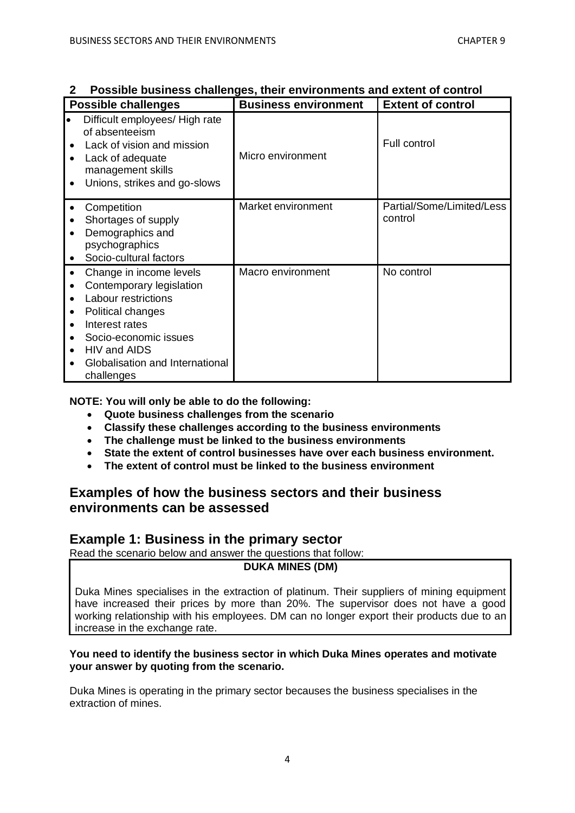|   | <b>Possible challenges</b>                                                                                                                                                                                  | <b>Business environment</b> | <b>Extent of control</b>             |
|---|-------------------------------------------------------------------------------------------------------------------------------------------------------------------------------------------------------------|-----------------------------|--------------------------------------|
| ٠ | Difficult employees/ High rate<br>of absenteeism<br>Lack of vision and mission<br>Lack of adequate<br>management skills<br>Unions, strikes and go-slows                                                     | Micro environment           | <b>Full control</b>                  |
|   | Competition<br>Shortages of supply<br>Demographics and<br>psychographics<br>Socio-cultural factors                                                                                                          | Market environment          | Partial/Some/Limited/Less<br>control |
| ٠ | Change in income levels<br>Contemporary legislation<br>Labour restrictions<br>Political changes<br>Interest rates<br>Socio-economic issues<br>HIV and AIDS<br>Globalisation and International<br>challenges | Macro environment           | No control                           |

#### **2 Possible business challenges, their environments and extent of control**

**NOTE: You will only be able to do the following:**

- **Quote business challenges from the scenario**
- **Classify these challenges according to the business environments**
- **The challenge must be linked to the business environments**
- **State the extent of control businesses have over each business environment.**
- **The extent of control must be linked to the business environment**

## **Examples of how the business sectors and their business environments can be assessed**

#### **Example 1: Business in the primary sector**

Read the scenario below and answer the questions that follow:

#### **DUKA MINES (DM)**

Duka Mines specialises in the extraction of platinum. Their suppliers of mining equipment have increased their prices by more than 20%. The supervisor does not have a good working relationship with his employees. DM can no longer export their products due to an increase in the exchange rate.

#### **You need to identify the business sector in which Duka Mines operates and motivate your answer by quoting from the scenario.**

Duka Mines is operating in the primary sector becauses the business specialises in the extraction of mines.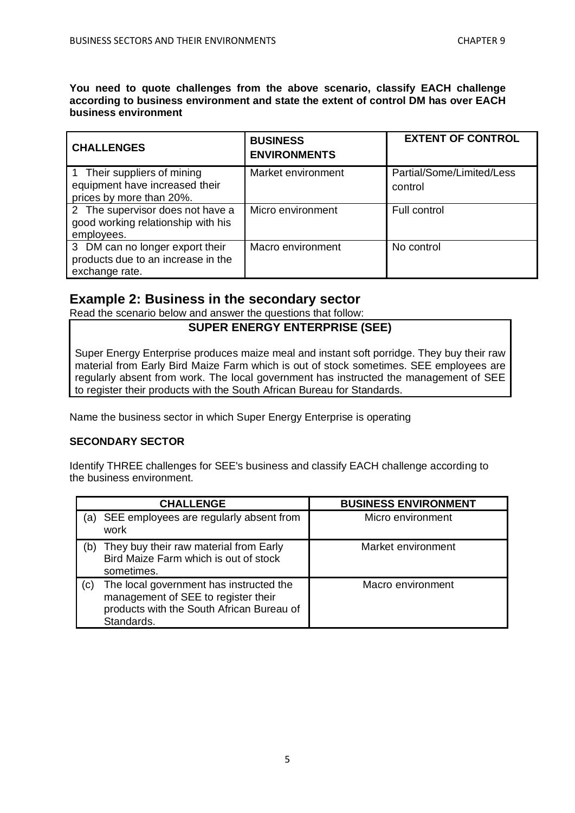**You need to quote challenges from the above scenario, classify EACH challenge according to business environment and state the extent of control DM has over EACH business environment**

| <b>CHALLENGES</b>                                                                         | <b>BUSINESS</b><br><b>ENVIRONMENTS</b> | <b>EXTENT OF CONTROL</b>             |
|-------------------------------------------------------------------------------------------|----------------------------------------|--------------------------------------|
| 1 Their suppliers of mining<br>equipment have increased their<br>prices by more than 20%. | Market environment                     | Partial/Some/Limited/Less<br>control |
| 2 The supervisor does not have a<br>good working relationship with his<br>employees.      | Micro environment                      | Full control                         |
| 3 DM can no longer export their<br>products due to an increase in the<br>exchange rate.   | Macro environment                      | No control                           |

## **Example 2: Business in the secondary sector**

Read the scenario below and answer the questions that follow:

#### **SUPER ENERGY ENTERPRISE (SEE)**

Super Energy Enterprise produces maize meal and instant soft porridge. They buy their raw material from Early Bird Maize Farm which is out of stock sometimes. SEE employees are regularly absent from work. The local government has instructed the management of SEE to register their products with the South African Bureau for Standards.

Name the business sector in which Super Energy Enterprise is operating

#### **SECONDARY SECTOR**

Identify THREE challenges for SEE's business and classify EACH challenge according to the business environment.

|     | <b>CHALLENGE</b>                                                                                                                          | <b>BUSINESS ENVIRONMENT</b> |
|-----|-------------------------------------------------------------------------------------------------------------------------------------------|-----------------------------|
| (a) | SEE employees are regularly absent from<br>work                                                                                           | Micro environment           |
| (b) | They buy their raw material from Early<br>Bird Maize Farm which is out of stock<br>sometimes.                                             | Market environment          |
| (C) | The local government has instructed the<br>management of SEE to register their<br>products with the South African Bureau of<br>Standards. | Macro environment           |